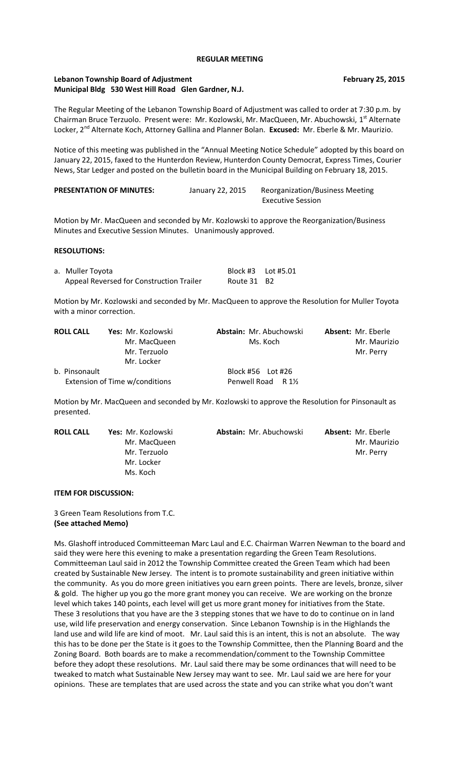#### **REGULAR MEETING**

# **Lebanon Township Board of Adjustment Community Community Community Community Community Community Community Community Community Community Community Community Community Community Community Community Community Community Comm Municipal Bldg 530 West Hill Road Glen Gardner, N.J.**

The Regular Meeting of the Lebanon Township Board of Adjustment was called to order at 7:30 p.m. by Chairman Bruce Terzuolo. Present were: Mr. Kozlowski, Mr. MacQueen, Mr. Abuchowski, 1<sup>st</sup> Alternate Locker, 2nd Alternate Koch, Attorney Gallina and Planner Bolan. **Excused:** Mr. Eberle & Mr. Maurizio.

Notice of this meeting was published in the "Annual Meeting Notice Schedule" adopted by this board on January 22, 2015, faxed to the Hunterdon Review, Hunterdon County Democrat, Express Times, Courier News, Star Ledger and posted on the bulletin board in the Municipal Building on February 18, 2015.

| <b>PRESENTATION OF MINUTES:</b> | January 22, 2015 | <b>Reorganization/Business Meeting</b> |
|---------------------------------|------------------|----------------------------------------|
|                                 |                  | Executive Session                      |

Motion by Mr. MacQueen and seconded by Mr. Kozlowski to approve the Reorganization/Business Minutes and Executive Session Minutes. Unanimously approved.

#### **RESOLUTIONS:**

| a. Muller Toyota                         | Block #3    Lot #5.01 |  |
|------------------------------------------|-----------------------|--|
| Appeal Reversed for Construction Trailer | Route 31 B2           |  |

Motion by Mr. Kozlowski and seconded by Mr. MacQueen to approve the Resolution for Muller Toyota with a minor correction.

|                                                 | <b>ROLL CALL</b> | Yes: Mr. Kozlowski | Abstain: Mr. Abuchowski | <b>Absent: Mr. Eberle</b> |
|-------------------------------------------------|------------------|--------------------|-------------------------|---------------------------|
|                                                 |                  | Mr. MacQueen       | Ms. Koch                | Mr. Maurizio              |
|                                                 |                  | Mr. Terzuolo       |                         | Mr. Perry                 |
|                                                 |                  | Mr. Locker         |                         |                           |
| b. Pinsonault<br>Extension of Time w/conditions |                  |                    | Block #56    Lot #26    |                           |
|                                                 |                  |                    | Penwell Road R 1½       |                           |

Motion by Mr. MacQueen and seconded by Mr. Kozlowski to approve the Resolution for Pinsonault as presented.

| <b>ROLL CALL</b> | Yes: Mr. Kozlowski | <b>Abstain: Mr. Abuchowski</b> | <b>Absent: Mr. Eberle</b> |
|------------------|--------------------|--------------------------------|---------------------------|
|                  | Mr. MacQueen       |                                | Mr. Maurizio              |
|                  | Mr. Terzuolo       |                                | Mr. Perry                 |
|                  | Mr. Locker         |                                |                           |
|                  | Ms. Koch           |                                |                           |

#### **ITEM FOR DISCUSSION:**

3 Green Team Resolutions from T.C. **(See attached Memo)**

Ms. Glashoff introduced Committeeman Marc Laul and E.C. Chairman Warren Newman to the board and said they were here this evening to make a presentation regarding the Green Team Resolutions. Committeeman Laul said in 2012 the Township Committee created the Green Team which had been created by Sustainable New Jersey. The intent is to promote sustainability and green initiative within the community. As you do more green initiatives you earn green points. There are levels, bronze, silver & gold. The higher up you go the more grant money you can receive. We are working on the bronze level which takes 140 points, each level will get us more grant money for initiatives from the State. These 3 resolutions that you have are the 3 stepping stones that we have to do to continue on in land use, wild life preservation and energy conservation. Since Lebanon Township is in the Highlands the land use and wild life are kind of moot. Mr. Laul said this is an intent, this is not an absolute. The way this has to be done per the State is it goes to the Township Committee, then the Planning Board and the Zoning Board. Both boards are to make a recommendation/comment to the Township Committee before they adopt these resolutions. Mr. Laul said there may be some ordinances that will need to be tweaked to match what Sustainable New Jersey may want to see. Mr. Laul said we are here for your opinions. These are templates that are used across the state and you can strike what you don't want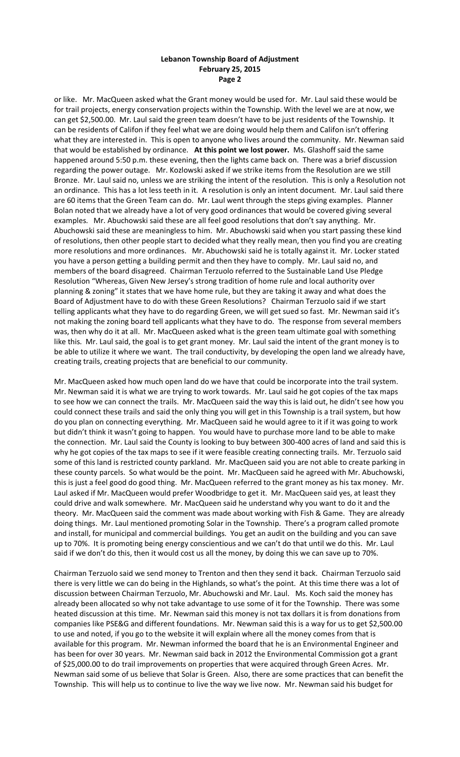# **Lebanon Township Board of Adjustment February 25, 2015 Page 2**

or like. Mr. MacQueen asked what the Grant money would be used for. Mr. Laul said these would be for trail projects, energy conservation projects within the Township. With the level we are at now, we can get \$2,500.00. Mr. Laul said the green team doesn't have to be just residents of the Township. It can be residents of Califon if they feel what we are doing would help them and Califon isn't offering what they are interested in. This is open to anyone who lives around the community. Mr. Newman said that would be established by ordinance. **At this point we lost power.** Ms. Glashoff said the same happened around 5:50 p.m. these evening, then the lights came back on. There was a brief discussion regarding the power outage. Mr. Kozlowski asked if we strike items from the Resolution are we still Bronze. Mr. Laul said no, unless we are striking the intent of the resolution. This is only a Resolution not an ordinance. This has a lot less teeth in it. A resolution is only an intent document. Mr. Laul said there are 60 items that the Green Team can do. Mr. Laul went through the steps giving examples. Planner Bolan noted that we already have a lot of very good ordinances that would be covered giving several examples. Mr. Abuchowski said these are all feel good resolutions that don't say anything. Mr. Abuchowski said these are meaningless to him. Mr. Abuchowski said when you start passing these kind of resolutions, then other people start to decided what they really mean, then you find you are creating more resolutions and more ordinances. Mr. Abuchowski said he is totally against it. Mr. Locker stated you have a person getting a building permit and then they have to comply. Mr. Laul said no, and members of the board disagreed. Chairman Terzuolo referred to the Sustainable Land Use Pledge Resolution "Whereas, Given New Jersey's strong tradition of home rule and local authority over planning & zoning" it states that we have home rule, but they are taking it away and what does the Board of Adjustment have to do with these Green Resolutions? Chairman Terzuolo said if we start telling applicants what they have to do regarding Green, we will get sued so fast. Mr. Newman said it's not making the zoning board tell applicants what they have to do. The response from several members was, then why do it at all. Mr. MacQueen asked what is the green team ultimate goal with something like this. Mr. Laul said, the goal is to get grant money. Mr. Laul said the intent of the grant money is to be able to utilize it where we want. The trail conductivity, by developing the open land we already have, creating trails, creating projects that are beneficial to our community.

Mr. MacQueen asked how much open land do we have that could be incorporate into the trail system. Mr. Newman said it is what we are trying to work towards. Mr. Laul said he got copies of the tax maps to see how we can connect the trails. Mr. MacQueen said the way this is laid out, he didn't see how you could connect these trails and said the only thing you will get in this Township is a trail system, but how do you plan on connecting everything. Mr. MacQueen said he would agree to it if it was going to work but didn't think it wasn't going to happen. You would have to purchase more land to be able to make the connection. Mr. Laul said the County is looking to buy between 300-400 acres of land and said this is why he got copies of the tax maps to see if it were feasible creating connecting trails. Mr. Terzuolo said some of this land is restricted county parkland. Mr. MacQueen said you are not able to create parking in these county parcels. So what would be the point. Mr. MacQueen said he agreed with Mr. Abuchowski, this is just a feel good do good thing. Mr. MacQueen referred to the grant money as his tax money. Mr. Laul asked if Mr. MacQueen would prefer Woodbridge to get it. Mr. MacQueen said yes, at least they could drive and walk somewhere. Mr. MacQueen said he understand why you want to do it and the theory. Mr. MacQueen said the comment was made about working with Fish & Game. They are already doing things. Mr. Laul mentioned promoting Solar in the Township. There's a program called promote and install, for municipal and commercial buildings. You get an audit on the building and you can save up to 70%. It is promoting being energy conscientious and we can't do that until we do this. Mr. Laul said if we don't do this, then it would cost us all the money, by doing this we can save up to 70%.

Chairman Terzuolo said we send money to Trenton and then they send it back. Chairman Terzuolo said there is very little we can do being in the Highlands, so what's the point. At this time there was a lot of discussion between Chairman Terzuolo, Mr. Abuchowski and Mr. Laul. Ms. Koch said the money has already been allocated so why not take advantage to use some of it for the Township. There was some heated discussion at this time. Mr. Newman said this money is not tax dollars it is from donations from companies like PSE&G and different foundations. Mr. Newman said this is a way for us to get \$2,500.00 to use and noted, if you go to the website it will explain where all the money comes from that is available for this program. Mr. Newman informed the board that he is an Environmental Engineer and has been for over 30 years. Mr. Newman said back in 2012 the Environmental Commission got a grant of \$25,000.00 to do trail improvements on properties that were acquired through Green Acres. Mr. Newman said some of us believe that Solar is Green. Also, there are some practices that can benefit the Township. This will help us to continue to live the way we live now. Mr. Newman said his budget for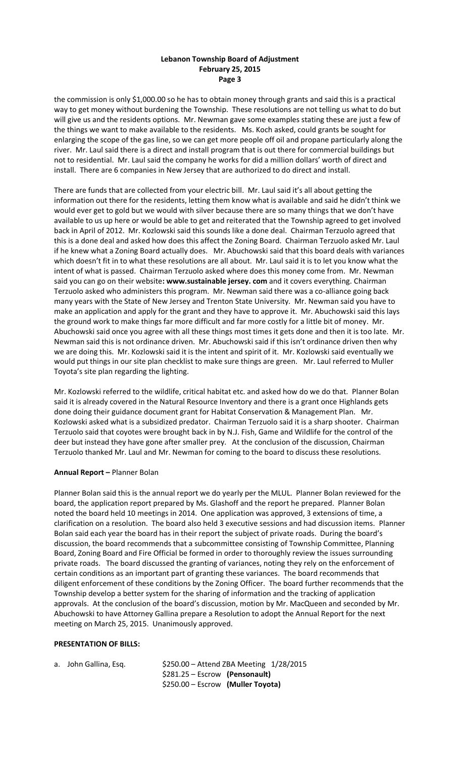# **Lebanon Township Board of Adjustment February 25, 2015 Page 3**

the commission is only \$1,000.00 so he has to obtain money through grants and said this is a practical way to get money without burdening the Township. These resolutions are not telling us what to do but will give us and the residents options. Mr. Newman gave some examples stating these are just a few of the things we want to make available to the residents. Ms. Koch asked, could grants be sought for enlarging the scope of the gas line, so we can get more people off oil and propane particularly along the river. Mr. Laul said there is a direct and install program that is out there for commercial buildings but not to residential. Mr. Laul said the company he works for did a million dollars' worth of direct and install. There are 6 companies in New Jersey that are authorized to do direct and install.

There are funds that are collected from your electric bill. Mr. Laul said it's all about getting the information out there for the residents, letting them know what is available and said he didn't think we would ever get to gold but we would with silver because there are so many things that we don't have available to us up here or would be able to get and reiterated that the Township agreed to get involved back in April of 2012. Mr. Kozlowski said this sounds like a done deal. Chairman Terzuolo agreed that this is a done deal and asked how does this affect the Zoning Board. Chairman Terzuolo asked Mr. Laul if he knew what a Zoning Board actually does. Mr. Abuchowski said that this board deals with variances which doesn't fit in to what these resolutions are all about. Mr. Laul said it is to let you know what the intent of what is passed. Chairman Terzuolo asked where does this money come from. Mr. Newman said you can go on their website**: www.sustainable jersey. com** and it covers everything. Chairman Terzuolo asked who administers this program. Mr. Newman said there was a co-alliance going back many years with the State of New Jersey and Trenton State University. Mr. Newman said you have to make an application and apply for the grant and they have to approve it. Mr. Abuchowski said this lays the ground work to make things far more difficult and far more costly for a little bit of money. Mr. Abuchowski said once you agree with all these things most times it gets done and then it is too late. Mr. Newman said this is not ordinance driven. Mr. Abuchowski said if this isn't ordinance driven then why we are doing this. Mr. Kozlowski said it is the intent and spirit of it. Mr. Kozlowski said eventually we would put things in our site plan checklist to make sure things are green. Mr. Laul referred to Muller Toyota's site plan regarding the lighting.

Mr. Kozlowski referred to the wildlife, critical habitat etc. and asked how do we do that. Planner Bolan said it is already covered in the Natural Resource Inventory and there is a grant once Highlands gets done doing their guidance document grant for Habitat Conservation & Management Plan. Mr. Kozlowski asked what is a subsidized predator. Chairman Terzuolo said it is a sharp shooter. Chairman Terzuolo said that coyotes were brought back in by N.J. Fish, Game and Wildlife for the control of the deer but instead they have gone after smaller prey. At the conclusion of the discussion, Chairman Terzuolo thanked Mr. Laul and Mr. Newman for coming to the board to discuss these resolutions.

# **Annual Report –** Planner Bolan

Planner Bolan said this is the annual report we do yearly per the MLUL. Planner Bolan reviewed for the board, the application report prepared by Ms. Glashoff and the report he prepared. Planner Bolan noted the board held 10 meetings in 2014. One application was approved, 3 extensions of time, a clarification on a resolution. The board also held 3 executive sessions and had discussion items. Planner Bolan said each year the board has in their report the subject of private roads. During the board's discussion, the board recommends that a subcommittee consisting of Township Committee, Planning Board, Zoning Board and Fire Official be formed in order to thoroughly review the issues surrounding private roads. The board discussed the granting of variances, noting they rely on the enforcement of certain conditions as an important part of granting these variances. The board recommends that diligent enforcement of these conditions by the Zoning Officer. The board further recommends that the Township develop a better system for the sharing of information and the tracking of application approvals. At the conclusion of the board's discussion, motion by Mr. MacQueen and seconded by Mr. Abuchowski to have Attorney Gallina prepare a Resolution to adopt the Annual Report for the next meeting on March 25, 2015. Unanimously approved.

# **PRESENTATION OF BILLS:**

a. John Gallina, Esq.  $$250.00 -$  Attend ZBA Meeting  $1/28/2015$ \$281.25 – Escrow **(Pensonault)** \$250.00 – Escrow **(Muller Toyota)**